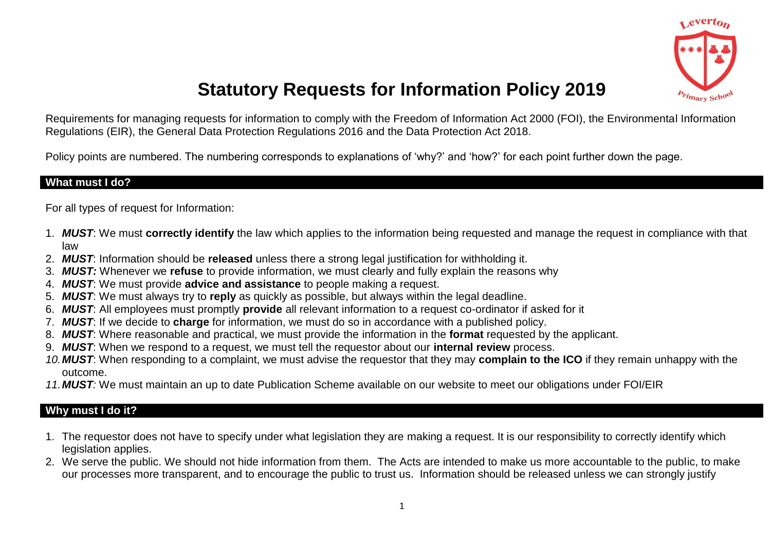

# **Statutory Requests for Information Policy 2019**

Requirements for managing requests for information to comply with the Freedom of Information Act 2000 (FOI), the Environmental Information Regulations (EIR), the General Data Protection Regulations 2016 and the Data Protection Act 2018.

Policy points are numbered. The numbering corresponds to explanations of 'why?' and 'how?' for each point further down the page.

#### **What must I do?**

For all types of request for Information:

- 1. *MUST*: We must **correctly identify** the law which applies to the information being requested and manage the request in compliance with that law
- 2. *MUST*: Information should be **released** unless there a strong legal justification for withholding it.
- 3. *MUST:* Whenever we **refuse** to provide information, we must clearly and fully explain the reasons why
- 4. *MUST*: We must provide **advice and assistance** to people making a request.
- 5. *MUST*: We must always try to **reply** as quickly as possible, but always within the legal deadline.
- 6. *MUST*: All employees must promptly **provide** all relevant information to a request co-ordinator if asked for it
- 7. *MUST*: If we decide to **charge** for information, we must do so in accordance with a published policy.
- 8. *MUST*: Where reasonable and practical, we must provide the information in the **format** requested by the applicant.
- 9. *MUST*: When we respond to a request, we must tell the requestor about our **internal review** process.
- *10.MUST*: When responding to a complaint, we must advise the requestor that they may **complain to the ICO** if they remain unhappy with the outcome.
- *11.MUST:* We must maintain an up to date Publication Scheme available on our website to meet our obligations under FOI/EIR

#### **Why must I do it?**

- 1. The requestor does not have to specify under what legislation they are making a request. It is our responsibility to correctly identify which legislation applies.
- 2. We serve the public. We should not hide information from them. The Acts are intended to make us more accountable to the public, to make our processes more transparent, and to encourage the public to trust us. Information should be released unless we can strongly justify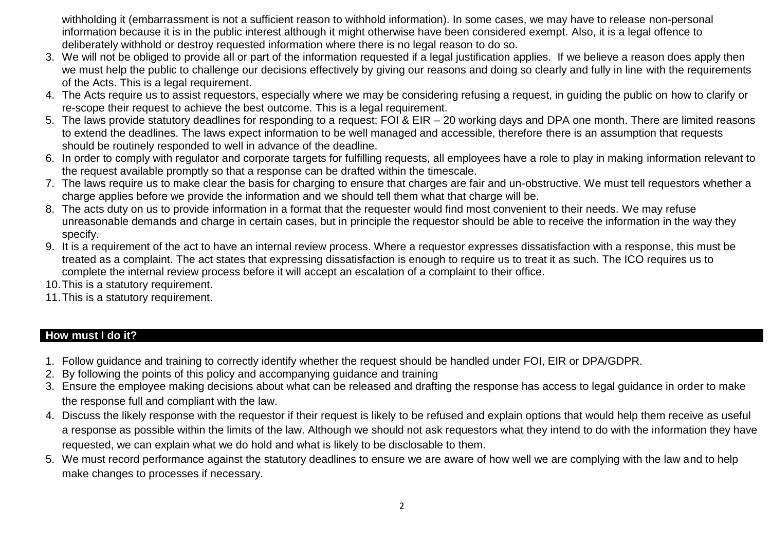withholding it (embarrassment is not a sufficient reason to withhold information). In some cases, we may have to release non-personal information because it is in the public interest although it might otherwise have been considered exempt. Also, it is a legal offence to deliberately withhold or destroy requested information where there is no legal reason to do so.

- 3. We will not be obliged to provide all or part of the information requested if a legal justification applies. If we believe a reason does apply then we must help the public to challenge our decisions effectively by giving our reasons and doing so clearly and fully in line with the requirements of the Acts. This is a legal requirement.
- 4. The Acts require us to assist requestors, especially where we may be considering refusing a request, in guiding the public on how to clarify or re-scope their request to achieve the best outcome. This is a legal requirement.
- 5. The laws provide statutory deadlines for responding to a request; FOI & EIR 20 working days and DPA one month. There are limited reasons to extend the deadlines. The laws expect information to be well managed and accessible, therefore there is an assumption that requests should be routinely responded to well in advance of the deadline.
- 6. In order to comply with regulator and corporate targets for fulfilling requests, all employees have a role to play in making information relevant to the request available promptly so that a response can be drafted within the timescale.
- 7. The laws require us to make clear the basis for charging to ensure that charges are fair and un-obstructive. We must tell requestors whether a charge applies before we provide the information and we should tell them what that charge will be.
- 8. The acts duty on us to provide information in a format that the requester would find most convenient to their needs. We may refuse unreasonable demands and charge in certain cases, but in principle the requestor should be able to receive the information in the way they specify.
- 9. It is a requirement of the act to have an internal review process. Where a requestor expresses dissatisfaction with a response, this must be treated as a complaint. The act states that expressing dissatisfaction is enough to require us to treat it as such. The ICO requires us to complete the internal review process before it will accept an escalation of a complaint to their office.
- 10.This is a statutory requirement.
- 11.This is a statutory requirement.

# **How must I do it?**

- 1. Follow guidance and training to correctly identify whether the request should be handled under FOI, EIR or DPA/GDPR.
- 2. By following the points of this policy and accompanying guidance and training
- 3. Ensure the employee making decisions about what can be released and drafting the response has access to legal guidance in order to make the response full and compliant with the law.
- 4. Discuss the likely response with the requestor if their request is likely to be refused and explain options that would help them receive as useful a response as possible within the limits of the law. Although we should not ask requestors what they intend to do with the information they have requested, we can explain what we do hold and what is likely to be disclosable to them.
- 5. We must record performance against the statutory deadlines to ensure we are aware of how well we are complying with the law and to help make changes to processes if necessary.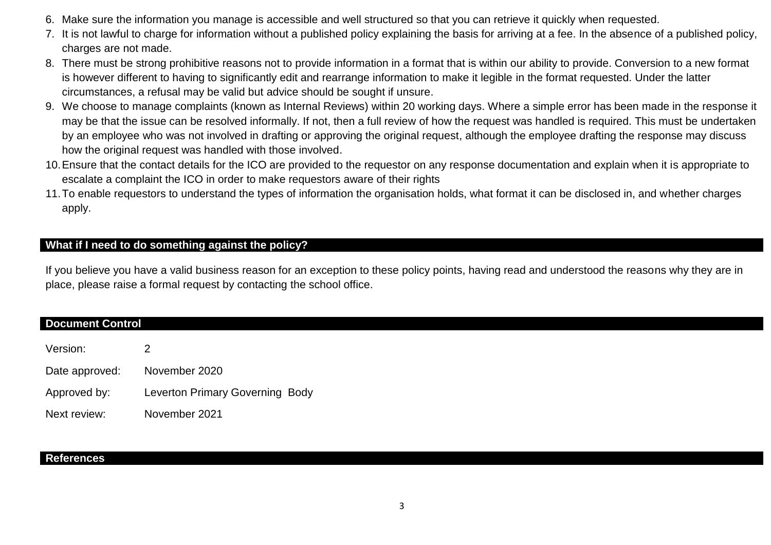- 6. Make sure the information you manage is accessible and well structured so that you can retrieve it quickly when requested.
- 7. It is not lawful to charge for information without a published policy explaining the basis for arriving at a fee. In the absence of a published policy, charges are not made.
- 8. There must be strong prohibitive reasons not to provide information in a format that is within our ability to provide. Conversion to a new format is however different to having to significantly edit and rearrange information to make it legible in the format requested. Under the latter circumstances, a refusal may be valid but advice should be sought if unsure.
- 9. We choose to manage complaints (known as Internal Reviews) within 20 working days. Where a simple error has been made in the response it may be that the issue can be resolved informally. If not, then a full review of how the request was handled is required. This must be undertaken by an employee who was not involved in drafting or approving the original request, although the employee drafting the response may discuss how the original request was handled with those involved.
- 10.Ensure that the contact details for the ICO are provided to the requestor on any response documentation and explain when it is appropriate to escalate a complaint the ICO in order to make requestors aware of their rights
- 11.To enable requestors to understand the types of information the organisation holds, what format it can be disclosed in, and whether charges apply.

## **What if I need to do something against the policy?**

If you believe you have a valid business reason for an exception to these policy points, having read and understood the reasons why they are in place, please raise a formal request by contacting the school office.

#### **Document Control**

| Version:       |                                        |
|----------------|----------------------------------------|
| Date approved: | November 2020                          |
| Approved by:   | <b>Leverton Primary Governing Body</b> |
| Next review:   | November 2021                          |

#### **References**